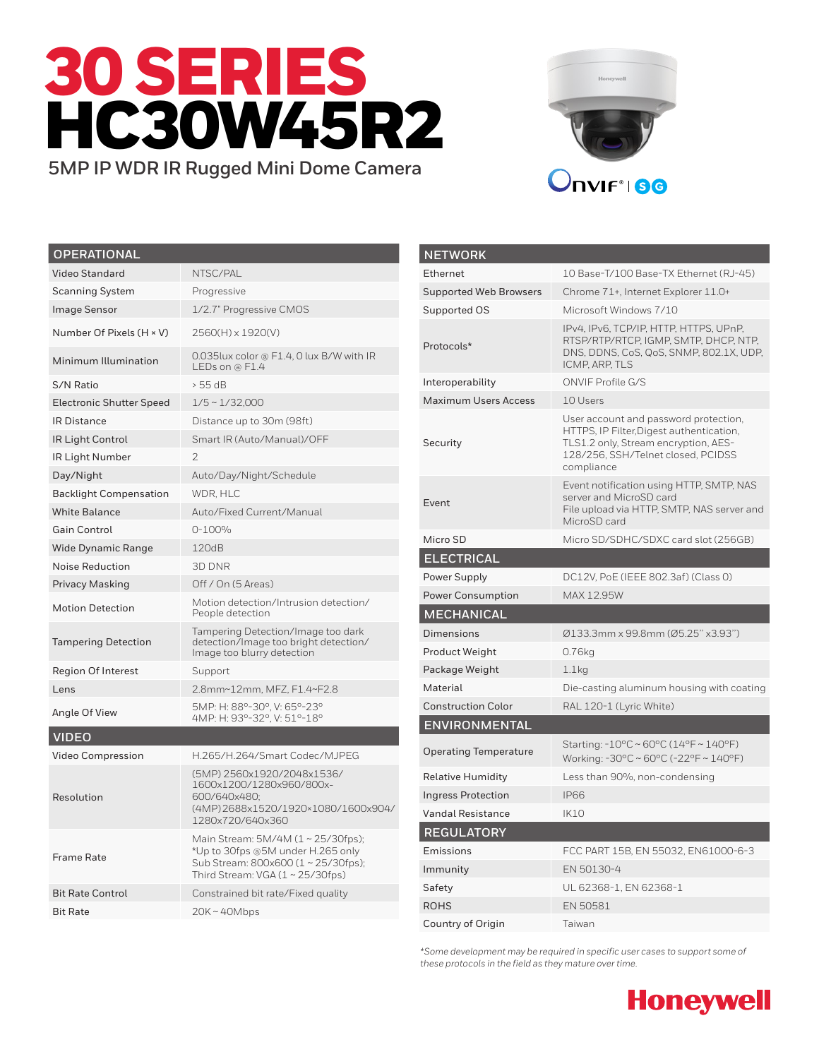



| <b>OPERATIONAL</b>              |                                                                                                                                                        |
|---------------------------------|--------------------------------------------------------------------------------------------------------------------------------------------------------|
| <b>Video Standard</b>           | NTSC/PAL                                                                                                                                               |
| <b>Scanning System</b>          | Progressive                                                                                                                                            |
| <b>Image Sensor</b>             | 1/2.7" Progressive CMOS                                                                                                                                |
| Number Of Pixels (H × V)        | 2560(H) x 1920(V)                                                                                                                                      |
| Minimum Illumination            | 0.035lux color @ F1.4, 0 lux B/W with IR<br>LEDs on @ $F1.4$                                                                                           |
| S/N Ratio                       | $> 55$ dB                                                                                                                                              |
| <b>Electronic Shutter Speed</b> | $1/5 \sim 1/32,000$                                                                                                                                    |
| <b>IR Distance</b>              | Distance up to 30m (98ft)                                                                                                                              |
| <b>IR Light Control</b>         | Smart IR (Auto/Manual)/OFF                                                                                                                             |
| IR Light Number                 | $\mathcal{P}$                                                                                                                                          |
| Day/Night                       | Auto/Day/Night/Schedule                                                                                                                                |
| <b>Backlight Compensation</b>   | WDR, HLC                                                                                                                                               |
| <b>White Balance</b>            | Auto/Fixed Current/Manual                                                                                                                              |
| <b>Gain Control</b>             | 0-100%                                                                                                                                                 |
| <b>Wide Dynamic Range</b>       | 120dB                                                                                                                                                  |
| Noise Reduction                 | 3D DNR                                                                                                                                                 |
| <b>Privacy Masking</b>          | Off / On (5 Areas)                                                                                                                                     |
| <b>Motion Detection</b>         | Motion detection/Intrusion detection/<br>People detection                                                                                              |
| <b>Tampering Detection</b>      | Tampering Detection/Image too dark<br>detection/Image too bright detection/<br>Image too blurry detection                                              |
| <b>Region Of Interest</b>       | Support                                                                                                                                                |
| Lens                            | 2.8mm~12mm, MFZ, F1.4~F2.8                                                                                                                             |
| Angle Of View                   | 5MP: H: 88°-30°, V: 65°-23°<br>4MP: H: 93°-32°, V: 51°-18°                                                                                             |
| <b>VIDEO</b>                    |                                                                                                                                                        |
| <b>Video Compression</b>        | H.265/H.264/Smart Codec/MJPEG                                                                                                                          |
| Resolution                      | (5MP) 2560x1920/2048x1536/<br>1600x1200/1280x960/800x-<br>600/640x480;<br>(4MP)2688x1520/1920×1080/1600x904/<br>1280x720/640x360                       |
| Frame Rate                      | Main Stream: 5M/4M (1~25/30fps);<br>*Up to 30fps @5M under H.265 only<br>Sub Stream: 800x600 (1 ~ 25/30fps);<br>Third Stream: VGA $(1 \sim 25/30$ fps) |
| <b>Bit Rate Control</b>         | Constrained bit rate/Fixed quality                                                                                                                     |
| <b>Bit Rate</b>                 | $20K - 40Mbps$                                                                                                                                         |

| <b>NETWORK</b>                |                                                                                                                                                                               |
|-------------------------------|-------------------------------------------------------------------------------------------------------------------------------------------------------------------------------|
| Ethernet                      | 10 Base-T/100 Base-TX Ethernet (RJ-45)                                                                                                                                        |
| <b>Supported Web Browsers</b> | Chrome 71+, Internet Explorer 11.0+                                                                                                                                           |
| Supported OS                  | Microsoft Windows 7/10                                                                                                                                                        |
| Protocols*                    | IPv4, IPv6, TCP/IP, HTTP, HTTPS, UPnP,<br>RTSP/RTP/RTCP, IGMP, SMTP, DHCP, NTP,<br>DNS, DDNS, CoS, QoS, SNMP, 802.1X, UDP,<br>ICMP, ARP, TLS                                  |
| Interoperability              | ONVIF Profile G/S                                                                                                                                                             |
| <b>Maximum Users Access</b>   | 10 Users                                                                                                                                                                      |
| Security                      | User account and password protection,<br>HTTPS, IP Filter, Digest authentication,<br>TLS1.2 only, Stream encryption, AES-<br>128/256, SSH/Telnet closed, PCIDSS<br>compliance |
| Event                         | Event notification using HTTP, SMTP, NAS<br>server and MicroSD card<br>File upload via HTTP, SMTP, NAS server and<br>MicroSD card                                             |
| Micro SD                      | Micro SD/SDHC/SDXC card slot (256GB)                                                                                                                                          |
| <b>ELECTRICAL</b>             |                                                                                                                                                                               |
| Power Supply                  | DC12V, PoE (IEEE 802.3af) (Class 0)                                                                                                                                           |
| <b>Power Consumption</b>      | MAX 12.95W                                                                                                                                                                    |
| MECHANICAL                    |                                                                                                                                                                               |
| Dimensions                    | Ø133.3mm x 99.8mm (Ø5.25" x3.93")                                                                                                                                             |
| Product Weight                | 0.76kg                                                                                                                                                                        |
| Package Weight                | 1.1 <sub>kq</sub>                                                                                                                                                             |
| Material                      | Die-casting aluminum housing with coating                                                                                                                                     |
| <b>Construction Color</b>     | RAL 120-1 (Lyric White)                                                                                                                                                       |
| ENVIRONMENTAL                 |                                                                                                                                                                               |
|                               |                                                                                                                                                                               |
| <b>Operating Temperature</b>  | Starting: -10°C ~ 60°C (14°F ~ 140°F)<br>Working: -30°C ~ 60°C (-22°F ~ 140°F)                                                                                                |
| <b>Relative Humidity</b>      | Less than 90%, non-condensing                                                                                                                                                 |
| <b>Ingress Protection</b>     | <b>IP66</b>                                                                                                                                                                   |
| <b>Vandal Resistance</b>      | <b>IK10</b>                                                                                                                                                                   |
| <b>REGULATORY</b>             |                                                                                                                                                                               |
| Emissions                     | FCC PART 15B, EN 55032, EN61000-6-3                                                                                                                                           |
| Immunity                      | EN 50130-4                                                                                                                                                                    |
| Safety                        | UL 62368-1, EN 62368-1                                                                                                                                                        |
| <b>ROHS</b>                   | EN 50581                                                                                                                                                                      |

*\*Some development may be required in specific user cases to support some of these protocols in the field as they mature over time.*